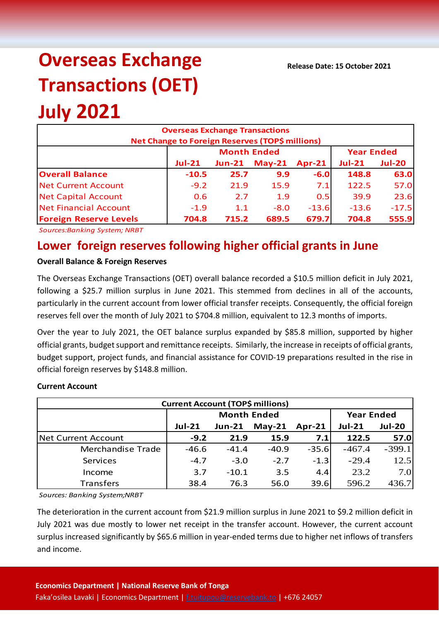# **Overseas Exchange Transactions (OET)**

## **July 2021**

| <b>Overseas Exchange Transactions</b><br>Net Change to Foreign Reserves (TOP\$ millions) |          |                    |                   |          |                           |         |  |  |
|------------------------------------------------------------------------------------------|----------|--------------------|-------------------|----------|---------------------------|---------|--|--|
|                                                                                          |          | <b>Month Ended</b> | <b>Year Ended</b> |          |                           |         |  |  |
|                                                                                          | $Jul-21$ | <b>Jun-21</b>      | $May-21$          | $Apr-21$ | $Jul-21$<br><b>Jul-20</b> |         |  |  |
| <b>Overall Balance</b>                                                                   | $-10.5$  | 25.7               | 9.9               | $-6.0$   | 148.8                     | 63.0    |  |  |
| <b>Net Current Account</b>                                                               | $-9.2$   | 21.9               | 15.9              | 7.1      | 122.5                     | 57.0    |  |  |
| <b>Net Capital Account</b>                                                               | 0.6      | 2.7                | 1.9               | 0.5      | 39.9                      | 23.6    |  |  |
| <b>Net Financial Account</b>                                                             | $-1.9$   | 1.1                | $-8.0$            | $-13.6$  | $-13.6$                   | $-17.5$ |  |  |
| <b>Foreign Reserve Levels</b>                                                            | 704.8    | 715.2              | 689.5             | 679.7    | 704.8                     | 555.9   |  |  |

*Sources:Banking System; NRBT*

### **Lower foreign reserves following higher official grants in June**

#### **Overall Balance & Foreign Reserves**

The Overseas Exchange Transactions (OET) overall balance recorded a \$10.5 million deficit in July 2021, following a \$25.7 million surplus in June 2021. This stemmed from declines in all of the accounts, particularly in the current account from lower official transfer receipts. Consequently, the official foreign reserves fell over the month of July 2021 to \$704.8 million, equivalent to 12.3 months of imports.

Over the year to July 2021, the OET balance surplus expanded by \$85.8 million, supported by higher official grants, budget support and remittance receipts. Similarly, the increase in receipts of official grants, budget support, project funds, and financial assistance for COVID-19 preparations resulted in the rise in official foreign reserves by \$148.8 million.

#### **Current Account**

| <b>Current Account (TOP\$ millions)</b> |                    |               |          |          |                   |               |  |  |  |
|-----------------------------------------|--------------------|---------------|----------|----------|-------------------|---------------|--|--|--|
|                                         | <b>Month Ended</b> |               |          |          | <b>Year Ended</b> |               |  |  |  |
|                                         | <b>Jul-21</b>      | <b>Jun-21</b> | $May-21$ | $Apr-21$ | <b>Jul-21</b>     | <b>Jul-20</b> |  |  |  |
| <b>Net Current Account</b>              | $-9.2$             | 21.9          | 15.9     | 7.1      | 122.5             | 57.0          |  |  |  |
| Merchandise Trade                       | $-46.6$            | $-41.4$       | $-40.9$  | $-35.6$  | $-467.4$          | $-399.1$      |  |  |  |
| Services                                | $-4.7$             | $-3.0$        | $-2.7$   | $-1.3$   | $-29.4$           | 12.5          |  |  |  |
| Income                                  | 3.7                | $-10.1$       | 3.5      | 4.4      | 23.2              | 7.0           |  |  |  |
| <b>Transfers</b>                        | 38.4               | 76.3          | 56.0     | 39.6     | 596.2             | 436.7         |  |  |  |

*Sources: Banking System;NRBT*

The deterioration in the current account from \$21.9 million surplus in June 2021 to \$9.2 million deficit in July 2021 was due mostly to lower net receipt in the transfer account. However, the current account surplus increased significantly by \$65.6 million in year-ended terms due to higher net inflows of transfers and income.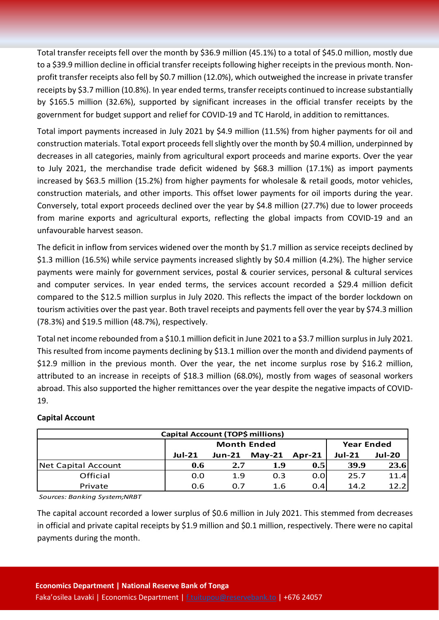Total transfer receipts fell over the month by \$36.9 million (45.1%) to a total of \$45.0 million, mostly due to a \$39.9 million decline in official transfer receipts following higher receipts in the previous month. Nonprofit transfer receipts also fell by \$0.7 million (12.0%), which outweighed the increase in private transfer receipts by \$3.7 million (10.8%). In year ended terms, transfer receipts continued to increase substantially by \$165.5 million (32.6%), supported by significant increases in the official transfer receipts by the government for budget support and relief for COVID-19 and TC Harold, in addition to remittances.

Total import payments increased in July 2021 by \$4.9 million (11.5%) from higher payments for oil and construction materials. Total export proceeds fell slightly over the month by \$0.4 million, underpinned by decreases in all categories, mainly from agricultural export proceeds and marine exports. Over the year to July 2021, the merchandise trade deficit widened by \$68.3 million (17.1%) as import payments increased by \$63.5 million (15.2%) from higher payments for wholesale & retail goods, motor vehicles, construction materials, and other imports. This offset lower payments for oil imports during the year. Conversely, total export proceeds declined over the year by \$4.8 million (27.7%) due to lower proceeds from marine exports and agricultural exports, reflecting the global impacts from COVID-19 and an unfavourable harvest season.

The deficit in inflow from services widened over the month by \$1.7 million as service receipts declined by \$1.3 million (16.5%) while service payments increased slightly by \$0.4 million (4.2%). The higher service payments were mainly for government services, postal & courier services, personal & cultural services and computer services. In year ended terms, the services account recorded a \$29.4 million deficit compared to the \$12.5 million surplus in July 2020. This reflects the impact of the border lockdown on tourism activities over the past year. Both travel receipts and payments fell over the year by \$74.3 million (78.3%) and \$19.5 million (48.7%), respectively.

Total net income rebounded from a \$10.1 million deficit in June 2021 to a \$3.7 million surplus in July 2021. This resulted from income payments declining by \$13.1 million over the month and dividend payments of \$12.9 million in the previous month. Over the year, the net income surplus rose by \$16.2 million, attributed to an increase in receipts of \$18.3 million (68.0%), mostly from wages of seasonal workers abroad. This also supported the higher remittances over the year despite the negative impacts of COVID-19.

#### **Capital Account**

| Capital Account (TOP\$ millions) |                    |        |          |          |                   |               |  |  |
|----------------------------------|--------------------|--------|----------|----------|-------------------|---------------|--|--|
|                                  | <b>Month Ended</b> |        |          |          | <b>Year Ended</b> |               |  |  |
|                                  | $Jul-21$           | Jun-21 | $May-21$ | $Apr-21$ | $Jul-21$          | <b>Jul-20</b> |  |  |
| Net Capital Account              | 0.6                | 2.7    | 1.9      | 0.5      | 39.9              | 23.6          |  |  |
| Official                         | 0.0                | 1.9    | 0.3      | 0.01     | 25.7              | 11.4          |  |  |
| Private                          | 0.6                | 0.7    | 1.6      | 0.4      | 14.2              | 12.2          |  |  |

*Sources: Banking System;NRBT*

The capital account recorded a lower surplus of \$0.6 million in July 2021. This stemmed from decreases in official and private capital receipts by \$1.9 million and \$0.1 million, respectively. There were no capital payments during the month.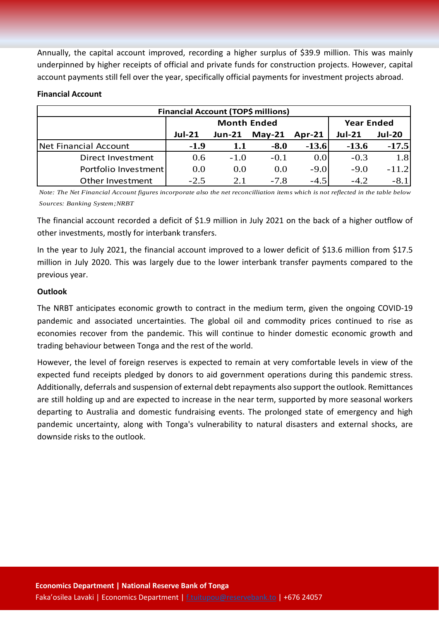Annually, the capital account improved, recording a higher surplus of \$39.9 million. This was mainly underpinned by higher receipts of official and private funds for construction projects. However, capital account payments still fell over the year, specifically official payments for investment projects abroad.

#### **Financial Account**

| <b>Financial Account (TOP\$ millions)</b> |               |                    |                   |          |               |               |  |  |  |
|-------------------------------------------|---------------|--------------------|-------------------|----------|---------------|---------------|--|--|--|
|                                           |               | <b>Month Ended</b> | <b>Year Ended</b> |          |               |               |  |  |  |
|                                           | <b>Jul-21</b> | <b>Jun-21</b>      | $May-21$          | $Apr-21$ | <b>Jul-21</b> | <b>Jul-20</b> |  |  |  |
| Net Financial Account                     | $-1.9$        | 1.1                | $-8.0$            | $-13.6$  | $-13.6$       | $-17.5$       |  |  |  |
| Direct Investment                         | 0.6           | $-1.0$             | $-0.1$            | 0.0      | $-0.3$        | 1.8           |  |  |  |
| Portfolio Investment                      | 0.0           | 0.0                | 0.0               | $-9.0$   | $-9.0$        | $-11.2$       |  |  |  |
| Other Investment                          | $-2.5$        | 2.1                | $-7.8$            | $-4.5$   | $-4.2$        | $-8.1$        |  |  |  |

*Note: The Net Financial Account figures incorporate also the net reconcilliation items which is not reflected in the table below Sources: Banking System;NRBT*

The financial account recorded a deficit of \$1.9 million in July 2021 on the back of a higher outflow of other investments, mostly for interbank transfers.

In the year to July 2021, the financial account improved to a lower deficit of \$13.6 million from \$17.5 million in July 2020. This was largely due to the lower interbank transfer payments compared to the previous year.

#### **Outlook**

The NRBT anticipates economic growth to contract in the medium term, given the ongoing COVID-19 pandemic and associated uncertainties. The global oil and commodity prices continued to rise as economies recover from the pandemic. This will continue to hinder domestic economic growth and trading behaviour between Tonga and the rest of the world.

However, the level of foreign reserves is expected to remain at very comfortable levels in view of the expected fund receipts pledged by donors to aid government operations during this pandemic stress. Additionally, deferrals and suspension of external debt repayments also support the outlook. Remittances are still holding up and are expected to increase in the near term, supported by more seasonal workers departing to Australia and domestic fundraising events. The prolonged state of emergency and high pandemic uncertainty, along with Tonga's vulnerability to natural disasters and external shocks, are downside risks to the outlook.